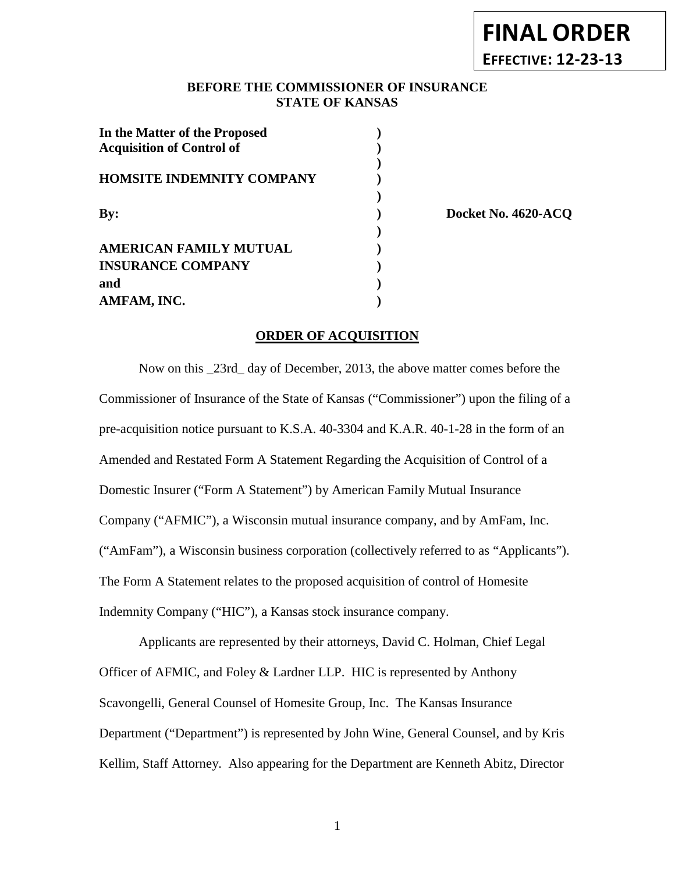# **FINAL ORDER EFFECTIVE: 12-23-13**

# **BEFORE THE COMMISSIONER OF INSURANCE STATE OF KANSAS**

| In the Matter of the Proposed<br><b>Acquisition of Control of</b> |  |
|-------------------------------------------------------------------|--|
| <b>HOMSITE INDEMNITY COMPANY</b>                                  |  |
| $\mathbf{By:}$                                                    |  |
| <b>AMERICAN FAMILY MUTUAL</b>                                     |  |
| <b>INSURANCE COMPANY</b><br>and                                   |  |
| AMFAM, INC.                                                       |  |

**By: ) Docket No. 4620-ACQ**

### **ORDER OF ACQUISITION**

Now on this \_23rd\_ day of December, 2013, the above matter comes before the Commissioner of Insurance of the State of Kansas ("Commissioner") upon the filing of a pre-acquisition notice pursuant to K.S.A. 40-3304 and K.A.R. 40-1-28 in the form of an Amended and Restated Form A Statement Regarding the Acquisition of Control of a Domestic Insurer ("Form A Statement") by American Family Mutual Insurance Company ("AFMIC"), a Wisconsin mutual insurance company, and by AmFam, Inc. ("AmFam"), a Wisconsin business corporation (collectively referred to as "Applicants"). The Form A Statement relates to the proposed acquisition of control of Homesite Indemnity Company ("HIC"), a Kansas stock insurance company.

Applicants are represented by their attorneys, David C. Holman, Chief Legal Officer of AFMIC, and Foley & Lardner LLP. HIC is represented by Anthony Scavongelli, General Counsel of Homesite Group, Inc. The Kansas Insurance Department ("Department") is represented by John Wine, General Counsel, and by Kris Kellim, Staff Attorney. Also appearing for the Department are Kenneth Abitz, Director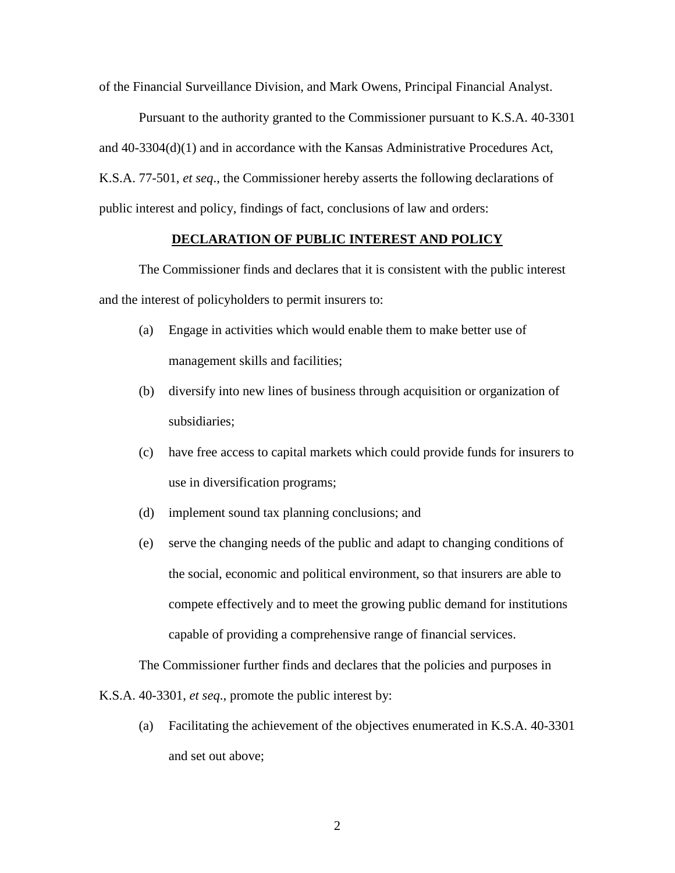of the Financial Surveillance Division, and Mark Owens, Principal Financial Analyst.

Pursuant to the authority granted to the Commissioner pursuant to K.S.A. 40-3301 and 40-3304(d)(1) and in accordance with the Kansas Administrative Procedures Act, K.S.A. 77-501, *et seq*., the Commissioner hereby asserts the following declarations of public interest and policy, findings of fact, conclusions of law and orders:

#### **DECLARATION OF PUBLIC INTEREST AND POLICY**

The Commissioner finds and declares that it is consistent with the public interest and the interest of policyholders to permit insurers to:

- (a) Engage in activities which would enable them to make better use of management skills and facilities;
- (b) diversify into new lines of business through acquisition or organization of subsidiaries;
- (c) have free access to capital markets which could provide funds for insurers to use in diversification programs;
- (d) implement sound tax planning conclusions; and
- (e) serve the changing needs of the public and adapt to changing conditions of the social, economic and political environment, so that insurers are able to compete effectively and to meet the growing public demand for institutions capable of providing a comprehensive range of financial services.

The Commissioner further finds and declares that the policies and purposes in

K.S.A. 40-3301, *et seq*., promote the public interest by:

(a) Facilitating the achievement of the objectives enumerated in K.S.A. 40-3301 and set out above;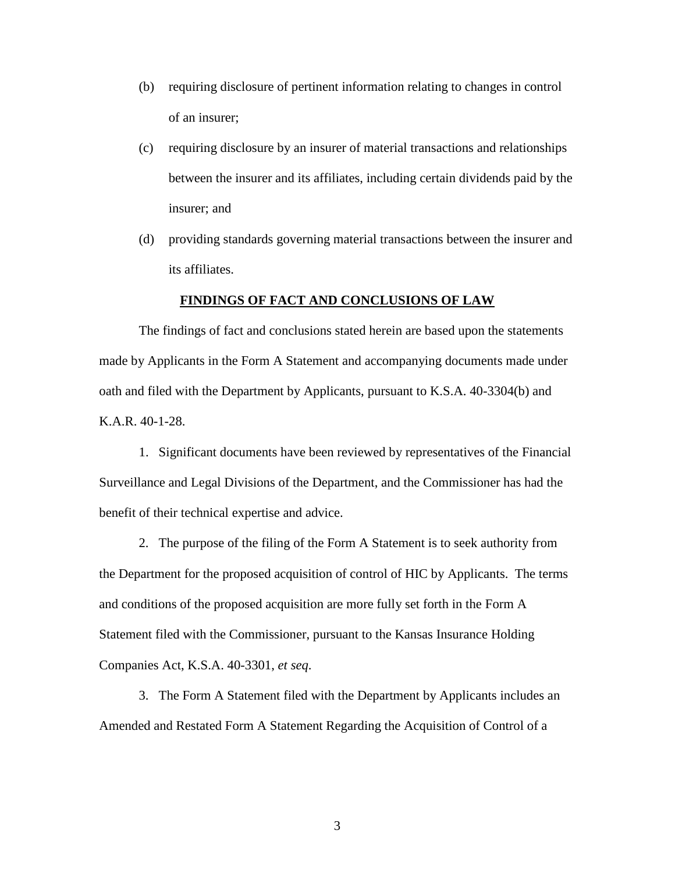- (b) requiring disclosure of pertinent information relating to changes in control of an insurer;
- (c) requiring disclosure by an insurer of material transactions and relationships between the insurer and its affiliates, including certain dividends paid by the insurer; and
- (d) providing standards governing material transactions between the insurer and its affiliates.

#### **FINDINGS OF FACT AND CONCLUSIONS OF LAW**

The findings of fact and conclusions stated herein are based upon the statements made by Applicants in the Form A Statement and accompanying documents made under oath and filed with the Department by Applicants, pursuant to K.S.A. 40-3304(b) and K.A.R. 40-1-28.

1. Significant documents have been reviewed by representatives of the Financial Surveillance and Legal Divisions of the Department, and the Commissioner has had the benefit of their technical expertise and advice.

2. The purpose of the filing of the Form A Statement is to seek authority from the Department for the proposed acquisition of control of HIC by Applicants. The terms and conditions of the proposed acquisition are more fully set forth in the Form A Statement filed with the Commissioner, pursuant to the Kansas Insurance Holding Companies Act, K.S.A. 40-3301, *et seq*.

3. The Form A Statement filed with the Department by Applicants includes an Amended and Restated Form A Statement Regarding the Acquisition of Control of a

3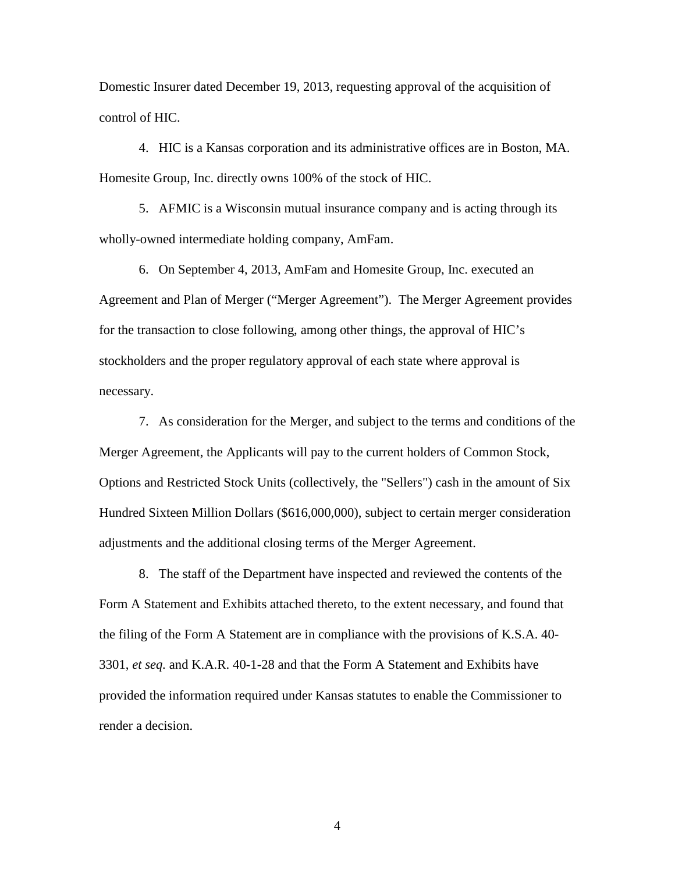Domestic Insurer dated December 19, 2013, requesting approval of the acquisition of control of HIC.

4. HIC is a Kansas corporation and its administrative offices are in Boston, MA. Homesite Group, Inc. directly owns 100% of the stock of HIC.

5. AFMIC is a Wisconsin mutual insurance company and is acting through its wholly-owned intermediate holding company, AmFam.

6. On September 4, 2013, AmFam and Homesite Group, Inc. executed an Agreement and Plan of Merger ("Merger Agreement"). The Merger Agreement provides for the transaction to close following, among other things, the approval of HIC's stockholders and the proper regulatory approval of each state where approval is necessary.

7. As consideration for the Merger, and subject to the terms and conditions of the Merger Agreement, the Applicants will pay to the current holders of Common Stock, Options and Restricted Stock Units (collectively, the "Sellers") cash in the amount of Six Hundred Sixteen Million Dollars (\$616,000,000), subject to certain merger consideration adjustments and the additional closing terms of the Merger Agreement.

8. The staff of the Department have inspected and reviewed the contents of the Form A Statement and Exhibits attached thereto, to the extent necessary, and found that the filing of the Form A Statement are in compliance with the provisions of K.S.A. 40- 3301, *et seq.* and K.A.R. 40-1-28 and that the Form A Statement and Exhibits have provided the information required under Kansas statutes to enable the Commissioner to render a decision.

4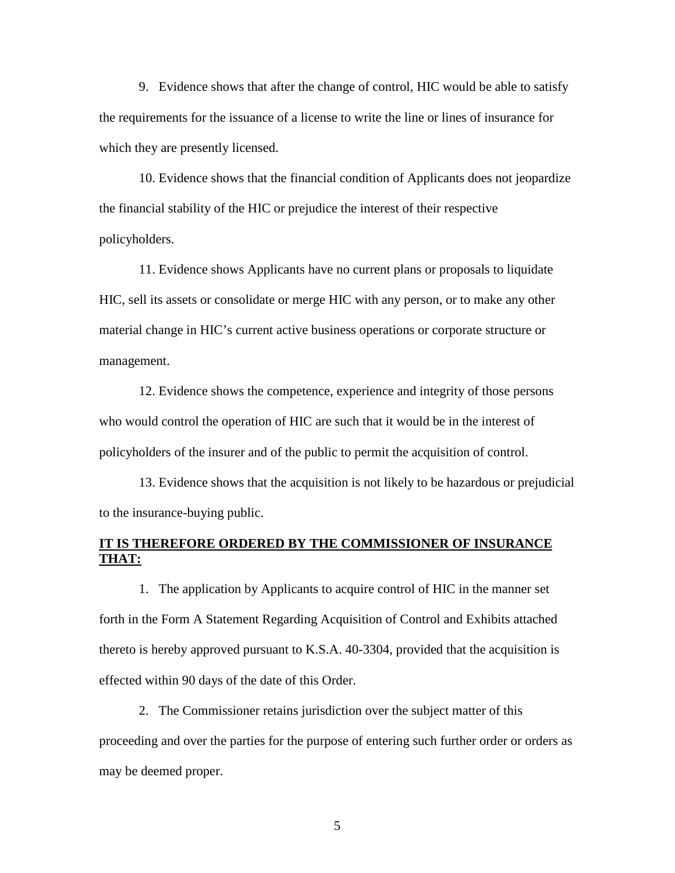9. Evidence shows that after the change of control, HIC would be able to satisfy the requirements for the issuance of a license to write the line or lines of insurance for which they are presently licensed.

10. Evidence shows that the financial condition of Applicants does not jeopardize the financial stability of the HIC or prejudice the interest of their respective policyholders.

11. Evidence shows Applicants have no current plans or proposals to liquidate HIC, sell its assets or consolidate or merge HIC with any person, or to make any other material change in HIC's current active business operations or corporate structure or management.

12. Evidence shows the competence, experience and integrity of those persons who would control the operation of HIC are such that it would be in the interest of policyholders of the insurer and of the public to permit the acquisition of control.

13. Evidence shows that the acquisition is not likely to be hazardous or prejudicial to the insurance-buying public.

## **IT IS THEREFORE ORDERED BY THE COMMISSIONER OF INSURANCE THAT:**

1. The application by Applicants to acquire control of HIC in the manner set forth in the Form A Statement Regarding Acquisition of Control and Exhibits attached thereto is hereby approved pursuant to K.S.A. 40-3304, provided that the acquisition is effected within 90 days of the date of this Order.

2. The Commissioner retains jurisdiction over the subject matter of this proceeding and over the parties for the purpose of entering such further order or orders as may be deemed proper.

5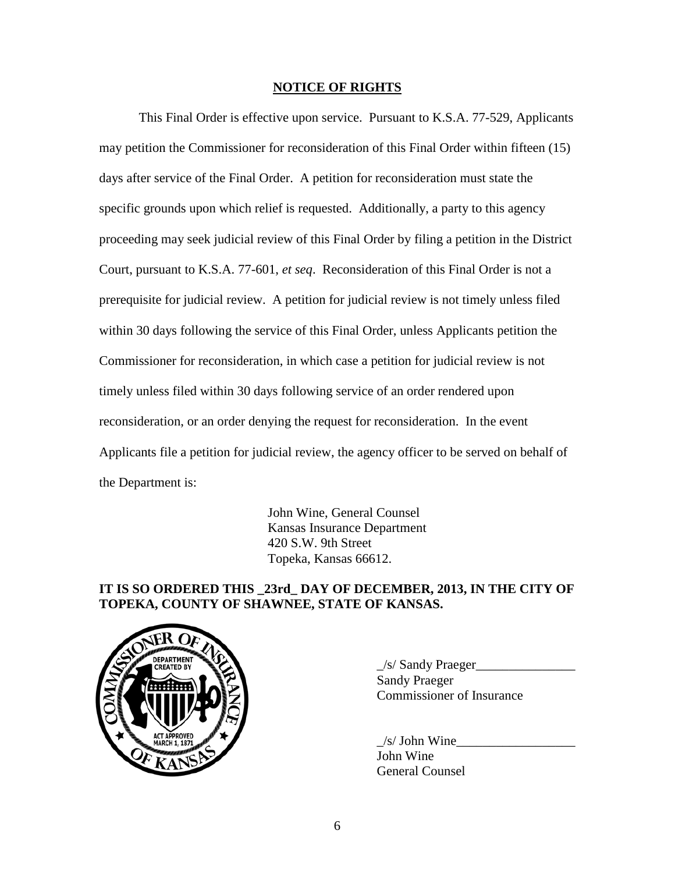#### **NOTICE OF RIGHTS**

This Final Order is effective upon service. Pursuant to K.S.A. 77-529, Applicants may petition the Commissioner for reconsideration of this Final Order within fifteen (15) days after service of the Final Order. A petition for reconsideration must state the specific grounds upon which relief is requested. Additionally, a party to this agency proceeding may seek judicial review of this Final Order by filing a petition in the District Court, pursuant to K.S.A. 77-601, *et seq*. Reconsideration of this Final Order is not a prerequisite for judicial review. A petition for judicial review is not timely unless filed within 30 days following the service of this Final Order, unless Applicants petition the Commissioner for reconsideration, in which case a petition for judicial review is not timely unless filed within 30 days following service of an order rendered upon reconsideration, or an order denying the request for reconsideration. In the event Applicants file a petition for judicial review, the agency officer to be served on behalf of the Department is:

> John Wine, General Counsel Kansas Insurance Department 420 S.W. 9th Street Topeka, Kansas 66612.

# **IT IS SO ORDERED THIS \_23rd\_ DAY OF DECEMBER, 2013, IN THE CITY OF TOPEKA, COUNTY OF SHAWNEE, STATE OF KANSAS.**



 $\angle$ s/ Sandy Praeger $\angle$ Sandy Praeger Commissioner of Insurance

 $/s/$  John Wine John Wine General Counsel